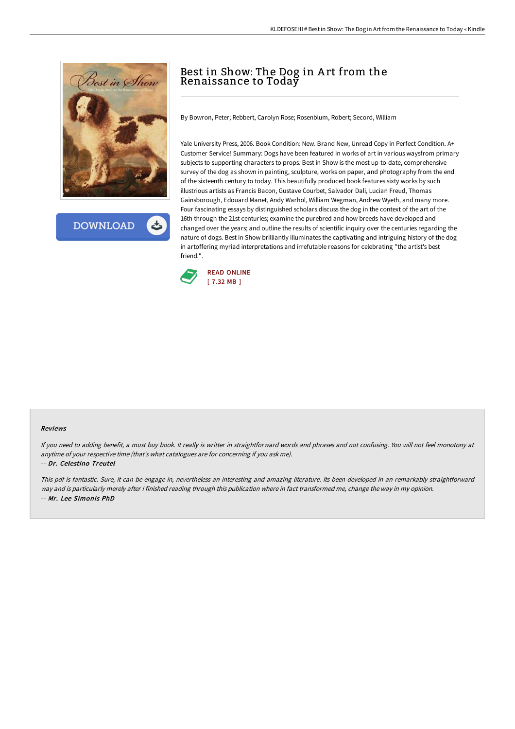

**DOWNLOAD** 

# Best in Show: The Dog in A rt from the Renaissance to Today

By Bowron, Peter; Rebbert, Carolyn Rose; Rosenblum, Robert; Secord, William

Yale University Press, 2006. Book Condition: New. Brand New, Unread Copy in Perfect Condition. A+ Customer Service! Summary: Dogs have been featured in works of art in various waysfrom primary subjects to supporting characters to props. Best in Show is the most up-to-date, comprehensive survey of the dog as shown in painting, sculpture, works on paper, and photography from the end of the sixteenth century to today. This beautifully produced book features sixty works by such illustrious artists as Francis Bacon, Gustave Courbet, Salvador Dali, Lucian Freud, Thomas Gainsborough, Edouard Manet, Andy Warhol, William Wegman, Andrew Wyeth, and many more. Four fascinating essays by distinguished scholars discuss the dog in the context of the art of the 16th through the 21st centuries; examine the purebred and how breeds have developed and changed over the years; and outline the results of scientific inquiry over the centuries regarding the nature of dogs. Best in Show brilliantly illuminates the captivating and intriguing history of the dog in artoffering myriad interpretations and irrefutable reasons for celebrating "the artist's best friend."



#### Reviews

If you need to adding benefit, <sup>a</sup> must buy book. It really is writter in straightforward words and phrases and not confusing. You will not feel monotony at anytime of your respective time (that's what catalogues are for concerning if you ask me).

#### -- Dr. Celestino Treutel

This pdf is fantastic. Sure, it can be engage in, nevertheless an interesting and amazing literature. Its been developed in an remarkably straightforward way and is particularly merely after i finished reading through this publication where in fact transformed me, change the way in my opinion. -- Mr. Lee Simonis PhD